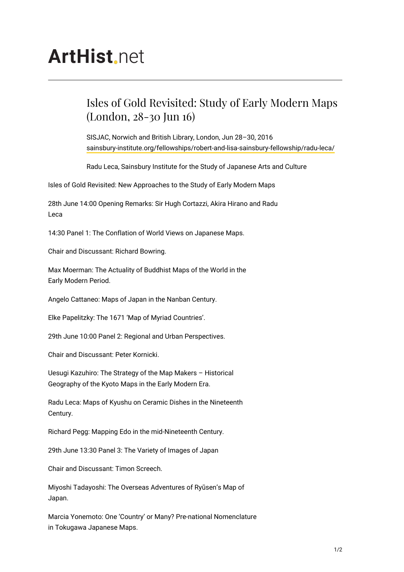## **ArtHist**, net

## Isles of Gold Revisited: Study of Early Modern Maps (London, 28-30 Jun 16)

SISJAC, Norwich and British Library, London, Jun 28–30, 2016 [sainsbury-institute.org/fellowships/robert-and-lisa-sainsbury-fellowship/radu-leca/](http://sainsbury-institute.org/fellowships/robert-and-lisa-sainsbury-fellowship/radu-leca/)

Radu Leca, Sainsbury Institute for the Study of Japanese Arts and Culture

Isles of Gold Revisited: New Approaches to the Study of Early Modern Maps

28th June 14:00 Opening Remarks: Sir Hugh Cortazzi, Akira Hirano and Radu Leca

14:30 Panel 1: The Conflation of World Views on Japanese Maps.

Chair and Discussant: Richard Bowring.

Max Moerman: The Actuality of Buddhist Maps of the World in the Early Modern Period.

Angelo Cattaneo: Maps of Japan in the Nanban Century.

Elke Papelitzky: The 1671 'Map of Myriad Countries'.

29th June 10:00 Panel 2: Regional and Urban Perspectives.

Chair and Discussant: Peter Kornicki.

Uesugi Kazuhiro: The Strategy of the Map Makers – Historical Geography of the Kyoto Maps in the Early Modern Era.

Radu Leca: Maps of Kyushu on Ceramic Dishes in the Nineteenth Century.

Richard Pegg: Mapping Edo in the mid-Nineteenth Century.

29th June 13:30 Panel 3: The Variety of Images of Japan

Chair and Discussant: Timon Screech.

Miyoshi Tadayoshi: The Overseas Adventures of Ryūsen's Map of Japan.

Marcia Yonemoto: One 'Country' or Many? Pre-national Nomenclature in Tokugawa Japanese Maps.